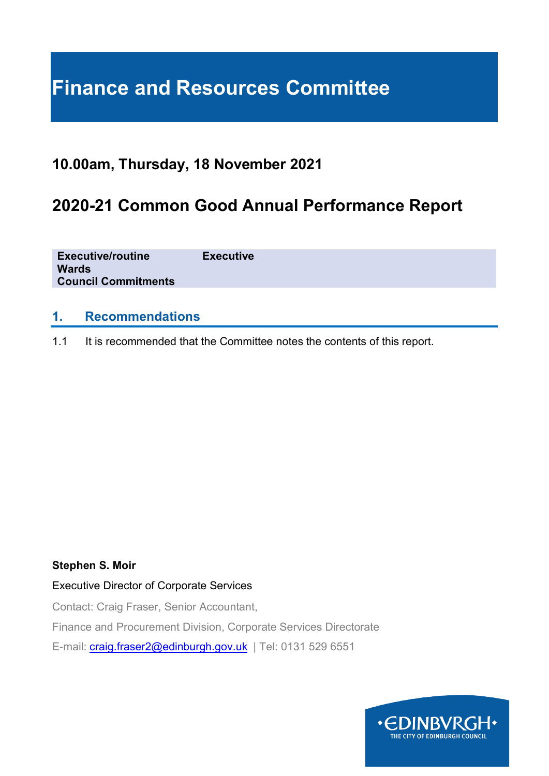# **Finance and Resources Committee**

# **10.00am, Thursday, 18 November 2021**

# **2020-21 Common Good Annual Performance Report**

| <b>Executive/routine</b><br><b>Wards</b><br><b>Council Commitments</b> | <b>Executive</b> |
|------------------------------------------------------------------------|------------------|
|                                                                        |                  |

#### **1. Recommendations**

1.1 It is recommended that the Committee notes the contents of this report.

#### **Stephen S. Moir**

#### Executive Director of Corporate Services

Contact: Craig Fraser, Senior Accountant,

Finance and Procurement Division, Corporate Services Directorate

E-mail: [craig.fraser2@edinburgh.gov.uk](mailto:craig.fraser2@edinburgh.gov.uk) | Tel: 0131 529 6551

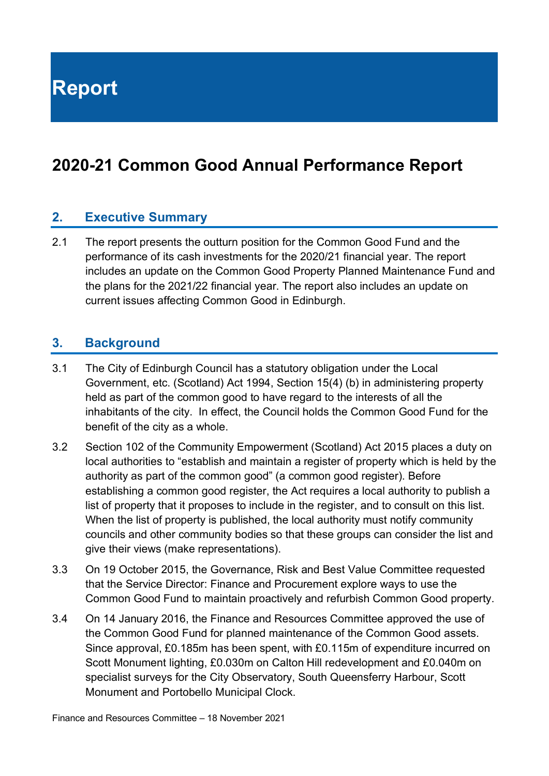**Report**

# **2020-21 Common Good Annual Performance Report**

#### **2. Executive Summary**

2.1 The report presents the outturn position for the Common Good Fund and the performance of its cash investments for the 2020/21 financial year. The report includes an update on the Common Good Property Planned Maintenance Fund and the plans for the 2021/22 financial year. The report also includes an update on current issues affecting Common Good in Edinburgh.

#### **3. Background**

- 3.1 The City of Edinburgh Council has a statutory obligation under the Local Government, etc. (Scotland) Act 1994, Section 15(4) (b) in administering property held as part of the common good to have regard to the interests of all the inhabitants of the city. In effect, the Council holds the Common Good Fund for the benefit of the city as a whole.
- 3.2 Section 102 of the Community Empowerment (Scotland) Act 2015 places a duty on local authorities to "establish and maintain a register of property which is held by the authority as part of the common good" (a common good register). Before establishing a common good register, the Act requires a local authority to publish a list of property that it proposes to include in the register, and to consult on this list. When the list of property is published, the local authority must notify community councils and other community bodies so that these groups can consider the list and give their views (make representations).
- 3.3 On 19 October 2015, the Governance, Risk and Best Value Committee requested that the Service Director: Finance and Procurement explore ways to use the Common Good Fund to maintain proactively and refurbish Common Good property.
- 3.4 On 14 January 2016, the Finance and Resources Committee approved the use of the Common Good Fund for planned maintenance of the Common Good assets. Since approval, £0.185m has been spent, with £0.115m of expenditure incurred on Scott Monument lighting, £0.030m on Calton Hill redevelopment and £0.040m on specialist surveys for the City Observatory, South Queensferry Harbour, Scott Monument and Portobello Municipal Clock.

Finance and Resources Committee – 18 November 2021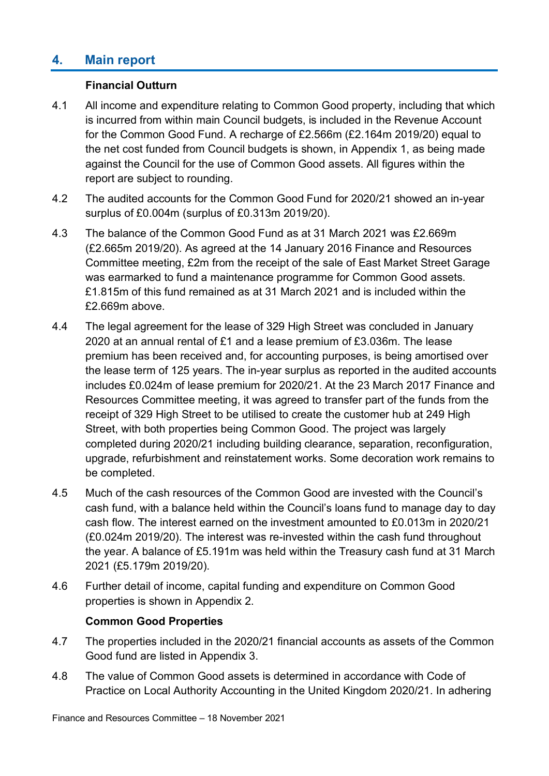# **4. Main report**

#### **Financial Outturn**

- 4.1 All income and expenditure relating to Common Good property, including that which is incurred from within main Council budgets, is included in the Revenue Account for the Common Good Fund. A recharge of £2.566m (£2.164m 2019/20) equal to the net cost funded from Council budgets is shown, in Appendix 1, as being made against the Council for the use of Common Good assets. All figures within the report are subject to rounding.
- 4.2 The audited accounts for the Common Good Fund for 2020/21 showed an in-year surplus of £0.004m (surplus of £0.313m 2019/20).
- 4.3 The balance of the Common Good Fund as at 31 March 2021 was £2.669m (£2.665m 2019/20). As agreed at the 14 January 2016 Finance and Resources Committee meeting, £2m from the receipt of the sale of East Market Street Garage was earmarked to fund a maintenance programme for Common Good assets. £1.815m of this fund remained as at 31 March 2021 and is included within the £2.669m above.
- 4.4 The legal agreement for the lease of 329 High Street was concluded in January 2020 at an annual rental of £1 and a lease premium of £3.036m. The lease premium has been received and, for accounting purposes, is being amortised over the lease term of 125 years. The in-year surplus as reported in the audited accounts includes £0.024m of lease premium for 2020/21. At the 23 March 2017 Finance and Resources Committee meeting, it was agreed to transfer part of the funds from the receipt of 329 High Street to be utilised to create the customer hub at 249 High Street, with both properties being Common Good. The project was largely completed during 2020/21 including building clearance, separation, reconfiguration, upgrade, refurbishment and reinstatement works. Some decoration work remains to be completed.
- 4.5 Much of the cash resources of the Common Good are invested with the Council's cash fund, with a balance held within the Council's loans fund to manage day to day cash flow. The interest earned on the investment amounted to £0.013m in 2020/21 (£0.024m 2019/20). The interest was re-invested within the cash fund throughout the year. A balance of £5.191m was held within the Treasury cash fund at 31 March 2021 (£5.179m 2019/20).
- 4.6 Further detail of income, capital funding and expenditure on Common Good properties is shown in Appendix 2.

#### **Common Good Properties**

- 4.7 The properties included in the 2020/21 financial accounts as assets of the Common Good fund are listed in Appendix 3.
- 4.8 The value of Common Good assets is determined in accordance with Code of Practice on Local Authority Accounting in the United Kingdom 2020/21. In adhering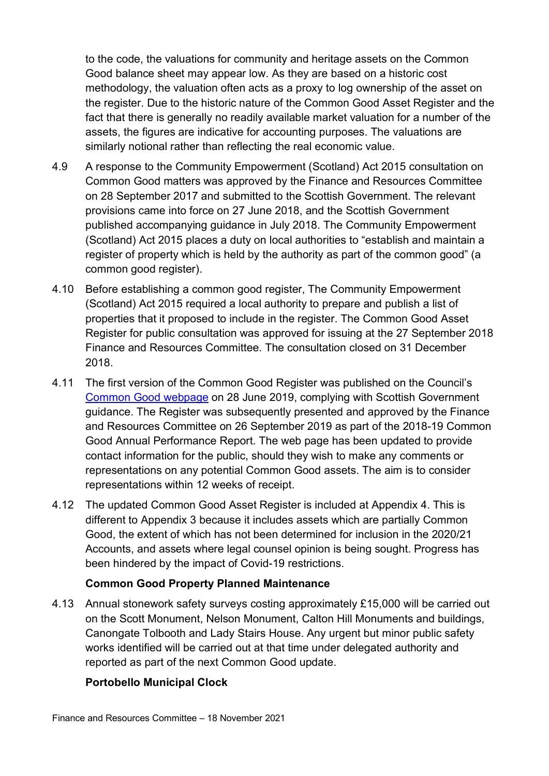to the code, the valuations for community and heritage assets on the Common Good balance sheet may appear low. As they are based on a historic cost methodology, the valuation often acts as a proxy to log ownership of the asset on the register. Due to the historic nature of the Common Good Asset Register and the fact that there is generally no readily available market valuation for a number of the assets, the figures are indicative for accounting purposes. The valuations are similarly notional rather than reflecting the real economic value.

- 4.9 A response to the Community Empowerment (Scotland) Act 2015 consultation on Common Good matters was approved by the Finance and Resources Committee on 28 September 2017 and submitted to the Scottish Government. The relevant provisions came into force on 27 June 2018, and the Scottish Government published accompanying guidance in July 2018. The Community Empowerment (Scotland) Act 2015 places a duty on local authorities to "establish and maintain a register of property which is held by the authority as part of the common good" (a common good register).
- 4.10 Before establishing a common good register, The Community Empowerment (Scotland) Act 2015 required a local authority to prepare and publish a list of properties that it proposed to include in the register. The Common Good Asset Register for public consultation was approved for issuing at the 27 September 2018 Finance and Resources Committee. The consultation closed on 31 December 2018.
- 4.11 The first version of the Common Good Register was published on the Council's [Common Good webpage](https://www.edinburgh.gov.uk/commercial-property-sale-let/common-good-register/1) on 28 June 2019, complying with Scottish Government guidance. The Register was subsequently presented and approved by the Finance and Resources Committee on 26 September 2019 as part of the 2018-19 Common Good Annual Performance Report. The web page has been updated to provide contact information for the public, should they wish to make any comments or representations on any potential Common Good assets. The aim is to consider representations within 12 weeks of receipt.
- 4.12 The updated Common Good Asset Register is included at Appendix 4. This is different to Appendix 3 because it includes assets which are partially Common Good, the extent of which has not been determined for inclusion in the 2020/21 Accounts, and assets where legal counsel opinion is being sought. Progress has been hindered by the impact of Covid-19 restrictions.

#### **Common Good Property Planned Maintenance**

4.13 Annual stonework safety surveys costing approximately £15,000 will be carried out on the Scott Monument, Nelson Monument, Calton Hill Monuments and buildings, Canongate Tolbooth and Lady Stairs House. Any urgent but minor public safety works identified will be carried out at that time under delegated authority and reported as part of the next Common Good update.

#### **Portobello Municipal Clock**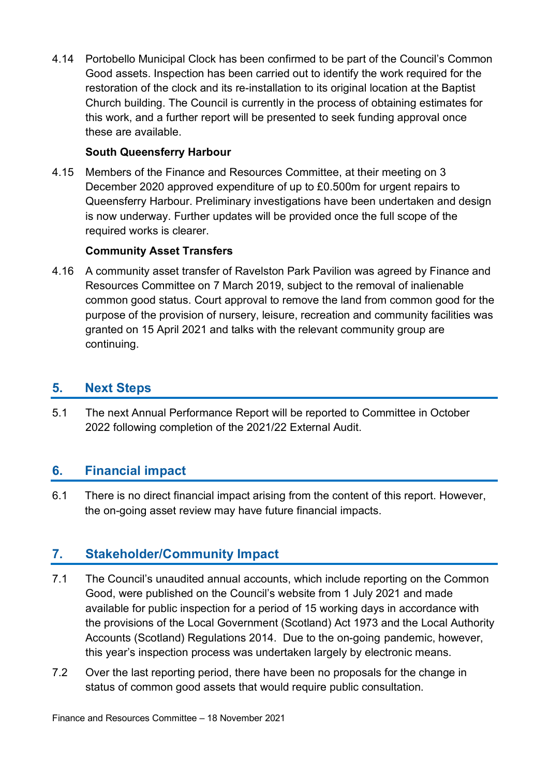4.14 Portobello Municipal Clock has been confirmed to be part of the Council's Common Good assets. Inspection has been carried out to identify the work required for the restoration of the clock and its re-installation to its original location at the Baptist Church building. The Council is currently in the process of obtaining estimates for this work, and a further report will be presented to seek funding approval once these are available.

#### **South Queensferry Harbour**

4.15 Members of the Finance and Resources Committee, at their meeting on 3 December 2020 approved expenditure of up to £0.500m for urgent repairs to Queensferry Harbour. Preliminary investigations have been undertaken and design is now underway. Further updates will be provided once the full scope of the required works is clearer.

#### **Community Asset Transfers**

4.16 A community asset transfer of Ravelston Park Pavilion was agreed by Finance and Resources Committee on 7 March 2019, subject to the removal of inalienable common good status. Court approval to remove the land from common good for the purpose of the provision of nursery, leisure, recreation and community facilities was granted on 15 April 2021 and talks with the relevant community group are continuing.

#### **5. Next Steps**

5.1 The next Annual Performance Report will be reported to Committee in October 2022 following completion of the 2021/22 External Audit.

### **6. Financial impact**

6.1 There is no direct financial impact arising from the content of this report. However, the on-going asset review may have future financial impacts.

### **7. Stakeholder/Community Impact**

- 7.1 The Council's unaudited annual accounts, which include reporting on the Common Good, were published on the Council's website from 1 July 2021 and made available for public inspection for a period of 15 working days in accordance with the provisions of the Local Government (Scotland) Act 1973 and the Local Authority Accounts (Scotland) Regulations 2014. Due to the on-going pandemic, however, this year's inspection process was undertaken largely by electronic means.
- 7.2 Over the last reporting period, there have been no proposals for the change in status of common good assets that would require public consultation.

Finance and Resources Committee – 18 November 2021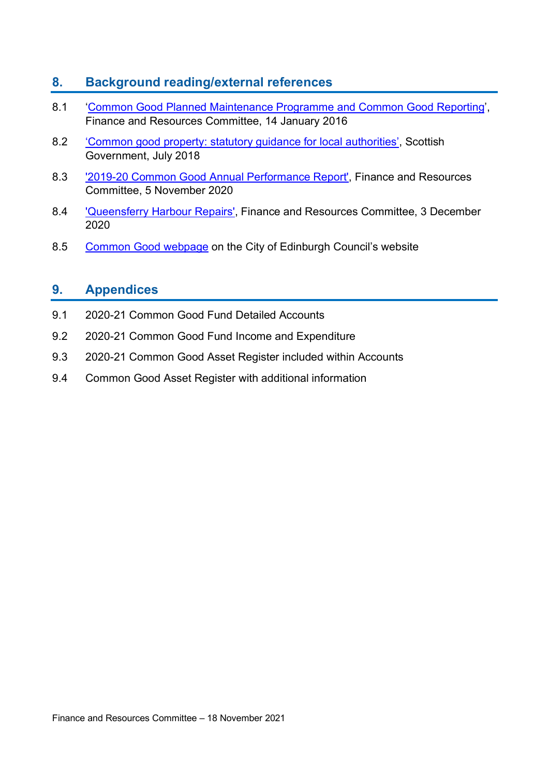## **8. Background reading/external references**

- 8.1 ['Common Good Planned Maintenance Programme and Common Good Reporting'](https://democracy.edinburgh.gov.uk/Data/Finance%20and%20Resources%20Committee/20160114/Agenda/item_715_-_common_good_planned_maintenance_programme_and_common_good_reporting.pdf), Finance and Resources Committee, 14 January 2016
- 8.2 ['Common good property: statutory guidance for local authorities',](https://beta.gov.scot/publications/community-empowerment-common-good-property-guidance-local-authorities/) Scottish Government, July 2018
- 8.3 ['2019-20 Common Good Annual Performance Report',](https://democracy.edinburgh.gov.uk/documents/s28524/7.4%20-%202019-20%20Common%20Good%20Annual%20Performance%20Report.pdf) Finance and Resources Committee, 5 November 2020
- 8.4 ['Queensferry Harbour Repairs',](https://democracy.edinburgh.gov.uk/mgConvert2PDF.aspx?ID=29452&ISATT=1#search=%22common%20good%22) Finance and Resources Committee, 3 December 2020
- 8.5 [Common Good webpage](https://www.edinburgh.gov.uk/commercial-property-sale-let/common-good-register/1) on the City of Edinburgh Council's website

## **9. Appendices**

- 9.1 2020-21 Common Good Fund Detailed Accounts
- 9.2 2020-21 Common Good Fund Income and Expenditure
- 9.3 2020-21 Common Good Asset Register included within Accounts
- 9.4 Common Good Asset Register with additional information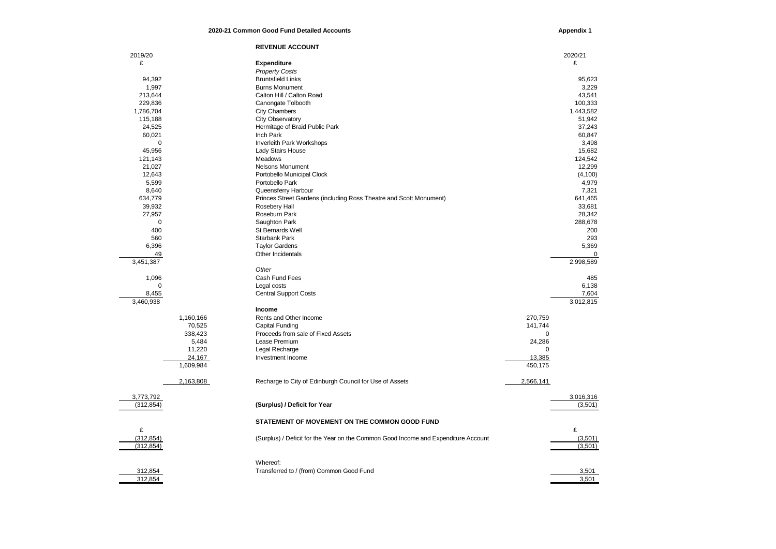#### **2020-21 Common Good Fund Detailed Accounts**

**Appendix 1**

|             |           | <b>REVENUE ACCOUNT</b>                                                             |             |             |
|-------------|-----------|------------------------------------------------------------------------------------|-------------|-------------|
| 2019/20     |           |                                                                                    |             | 2020/21     |
| £           |           | <b>Expenditure</b>                                                                 |             | £           |
|             |           | <b>Property Costs</b>                                                              |             |             |
| 94,392      |           | <b>Bruntsfield Links</b>                                                           |             | 95,623      |
| 1,997       |           | <b>Burns Monument</b>                                                              |             | 3,229       |
| 213,644     |           | Calton Hill / Calton Road                                                          |             | 43,541      |
| 229,836     |           | Canongate Tolbooth                                                                 |             | 100,333     |
| 1,786,704   |           | <b>City Chambers</b>                                                               |             | 1,443,582   |
| 115,188     |           | City Observatory                                                                   |             | 51,942      |
| 24,525      |           | Hermitage of Braid Public Park                                                     |             | 37,243      |
| 60,021      |           | Inch Park                                                                          |             | 60,847      |
| $\mathbf 0$ |           |                                                                                    |             | 3,498       |
| 45,956      |           | Inverleith Park Workshops<br>Lady Stairs House                                     |             | 15,682      |
|             |           |                                                                                    |             |             |
| 121,143     |           | Meadows                                                                            |             | 124,542     |
| 21,027      |           | <b>Nelsons Monument</b>                                                            |             | 12,299      |
| 12,643      |           | Portobello Municipal Clock                                                         |             | (4, 100)    |
| 5,599       |           | Portobello Park                                                                    |             | 4,979       |
| 8,640       |           | Queensferry Harbour                                                                |             | 7,321       |
| 634,779     |           | Princes Street Gardens (including Ross Theatre and Scott Monument)                 |             | 641,465     |
| 39,932      |           | Rosebery Hall                                                                      |             | 33,681      |
| 27,957      |           | Roseburn Park                                                                      |             | 28,342      |
| $\mathbf 0$ |           | Saughton Park                                                                      |             | 288,678     |
| 400         |           | St Bernards Well                                                                   |             | 200         |
| 560         |           | <b>Starbank Park</b>                                                               |             | 293         |
| 6,396       |           | <b>Taylor Gardens</b>                                                              |             | 5,369       |
| 49          |           | Other Incidentals                                                                  |             | $\mathbf 0$ |
| 3,451,387   |           |                                                                                    |             | 2,998,589   |
|             |           | Other                                                                              |             |             |
| 1,096       |           | Cash Fund Fees                                                                     |             | 485         |
| $\Omega$    |           | Legal costs                                                                        |             | 6,138       |
| 8,455       |           | <b>Central Support Costs</b>                                                       |             | 7,604       |
| 3,460,938   |           |                                                                                    |             | 3,012,815   |
|             |           | Income                                                                             |             |             |
|             | 1,160,166 | Rents and Other Income                                                             | 270,759     |             |
|             | 70,525    | Capital Funding                                                                    | 141,744     |             |
|             | 338,423   | Proceeds from sale of Fixed Assets                                                 | $\mathbf 0$ |             |
|             | 5,484     | Lease Premium                                                                      | 24,286      |             |
|             | 11,220    | Legal Recharge                                                                     | $\Omega$    |             |
|             | 24,167    | Investment Income                                                                  | 13,385      |             |
|             | 1,609,984 |                                                                                    | 450,175     |             |
|             | 2,163,808 | Recharge to City of Edinburgh Council for Use of Assets                            | 2,566,141   |             |
|             |           |                                                                                    |             |             |
| 3,773,792   |           |                                                                                    |             | 3,016,316   |
| (312, 854)  |           | (Surplus) / Deficit for Year                                                       |             | (3,501)     |
|             |           | STATEMENT OF MOVEMENT ON THE COMMON GOOD FUND                                      |             |             |
| £           |           |                                                                                    |             | £           |
| (312, 854)  |           | (Surplus) / Deficit for the Year on the Common Good Income and Expenditure Account |             | (3,501)     |
| (312, 854)  |           |                                                                                    |             | (3,501)     |
|             |           |                                                                                    |             |             |
|             |           | Whereof:                                                                           |             |             |
| 312,854     |           | Transferred to / (from) Common Good Fund                                           |             | 3,501       |
| 312.854     |           |                                                                                    |             | 3.501       |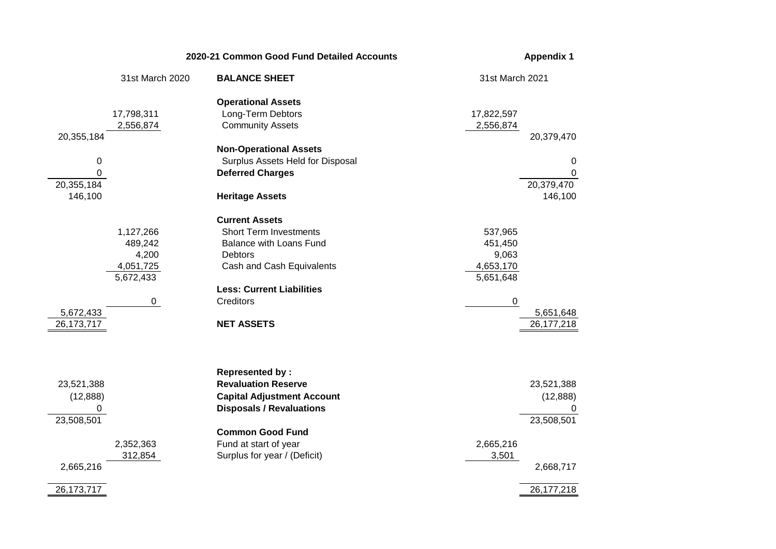|                                                                         |                                                              | 2020-21 Common Good Fund Detailed Accounts                                                                                                                                                                       | <b>Appendix 1</b>                                                                             |  |  |
|-------------------------------------------------------------------------|--------------------------------------------------------------|------------------------------------------------------------------------------------------------------------------------------------------------------------------------------------------------------------------|-----------------------------------------------------------------------------------------------|--|--|
|                                                                         | 31st March 2020                                              | <b>BALANCE SHEET</b>                                                                                                                                                                                             | 31st March 2021                                                                               |  |  |
| 20,355,184                                                              | 17,798,311<br>2,556,874                                      | <b>Operational Assets</b><br>Long-Term Debtors<br><b>Community Assets</b>                                                                                                                                        | 17,822,597<br>2,556,874<br>20,379,470                                                         |  |  |
| $\pmb{0}$<br>0<br>20,355,184<br>146,100                                 |                                                              | <b>Non-Operational Assets</b><br>Surplus Assets Held for Disposal<br><b>Deferred Charges</b><br><b>Heritage Assets</b>                                                                                           | $\mathbf 0$<br>$\Omega$<br>20,379,470<br>146,100                                              |  |  |
| 5,672,433<br>26, 173, 717                                               | 1,127,266<br>489,242<br>4,200<br>4,051,725<br>5,672,433<br>0 | <b>Current Assets</b><br><b>Short Term Investments</b><br><b>Balance with Loans Fund</b><br>Debtors<br>Cash and Cash Equivalents<br><b>Less: Current Liabilities</b><br>Creditors<br><b>NET ASSETS</b>           | 537,965<br>451,450<br>9,063<br>4,653,170<br>5,651,648<br>0<br>5,651,648<br>26, 177, 218       |  |  |
| 23,521,388<br>(12, 888)<br>0<br>23,508,501<br>2,665,216<br>26, 173, 717 | 2,352,363<br>312,854                                         | <b>Represented by:</b><br><b>Revaluation Reserve</b><br><b>Capital Adjustment Account</b><br><b>Disposals / Revaluations</b><br><b>Common Good Fund</b><br>Fund at start of year<br>Surplus for year / (Deficit) | 23,521,388<br>(12, 888)<br>0<br>23,508,501<br>2,665,216<br>3,501<br>2,668,717<br>26, 177, 218 |  |  |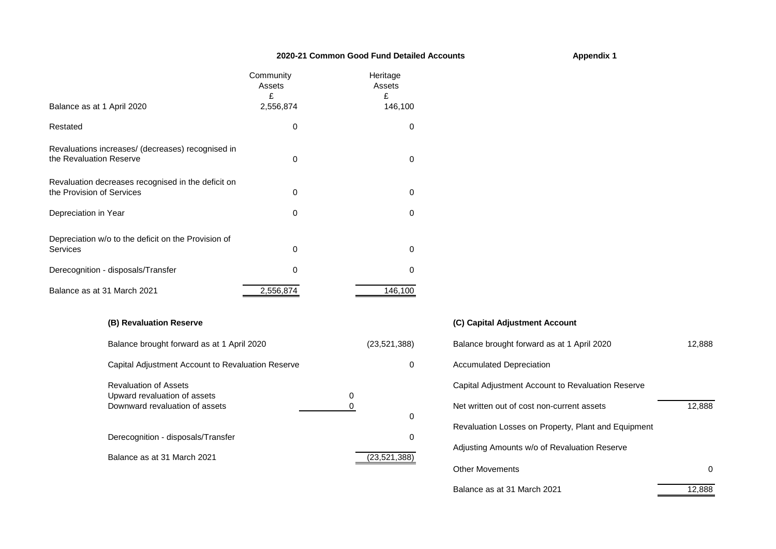#### **2020-21 Common Good Fund Detailed Accounts**

|                                                                                 | Community<br>Assets<br>£ | Heritage<br>Assets<br>£ |
|---------------------------------------------------------------------------------|--------------------------|-------------------------|
| Balance as at 1 April 2020                                                      | 2,556,874                | 146,100                 |
| Restated                                                                        | 0                        | 0                       |
| Revaluations increases/ (decreases) recognised in<br>the Revaluation Reserve    | 0                        | 0                       |
| Revaluation decreases recognised in the deficit on<br>the Provision of Services | 0                        | $\Omega$                |
| Depreciation in Year                                                            | 0                        | 0                       |
| Depreciation w/o to the deficit on the Provision of<br><b>Services</b>          | 0                        | 0                       |
| Derecognition - disposals/Transfer                                              | 0                        | $\Omega$                |
| Balance as at 31 March 2021                                                     | 2,556,874                | 146,100                 |

#### **(B) Revaluation Reserve (C) Capital Adjustment Account**

| Balance brought forward as at 1 April 2020                   | (23,521,388) | Balance brought forward as at 1 April 2020          | 12.888 |
|--------------------------------------------------------------|--------------|-----------------------------------------------------|--------|
| Capital Adjustment Account to Revaluation Reserve            |              | <b>Accumulated Depreciation</b>                     |        |
| <b>Revaluation of Assets</b><br>Upward revaluation of assets | 0            | Capital Adjustment Account to Revaluation Reserve   |        |
| Downward revaluation of assets                               | 0            | Net written out of cost non-current assets          | 12.888 |
| Derecognition - disposals/Transfer                           | 0            | Revaluation Losses on Property, Plant and Equipment |        |
| Balance as at 31 March 2021                                  | (23,521,388) | Adjusting Amounts w/o of Revaluation Reserve        |        |

# 8) Balance brought forward as at 1 April 2020 12,888 0 Accumulated Depreciation Capital Adjustment Account to Revaluation Reserve Revaluation Losses on Property, Plant and Equipment Adjusting Amounts w/o of Revaluation Reserve Other Movements 0

Balance as at 31 March 2021 12,888

#### **Appendix 1**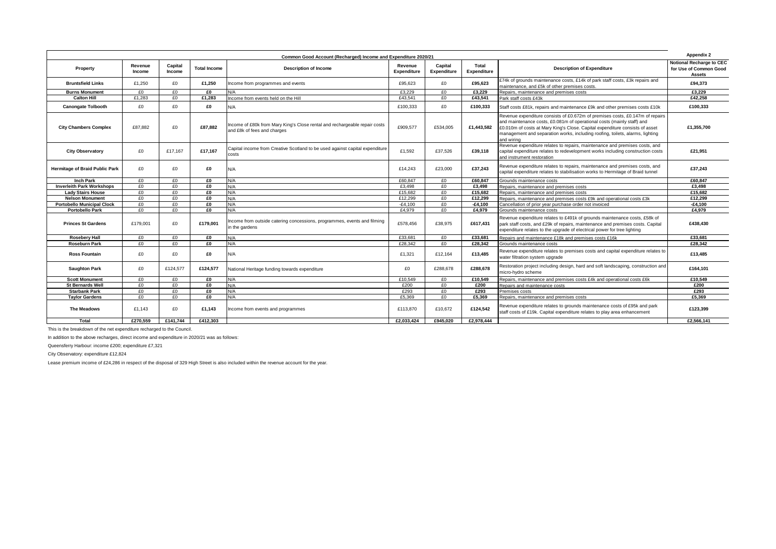| Common Good Account (Recharged) Income and Expenditure 2020/21 |                   |                   |                     |                                                                                                           |                               |                        |                      |                                                                                                                                                                                                                                                                                                                                        | Appendix 2                                                          |
|----------------------------------------------------------------|-------------------|-------------------|---------------------|-----------------------------------------------------------------------------------------------------------|-------------------------------|------------------------|----------------------|----------------------------------------------------------------------------------------------------------------------------------------------------------------------------------------------------------------------------------------------------------------------------------------------------------------------------------------|---------------------------------------------------------------------|
| Property                                                       | Revenue<br>Income | Capital<br>Income | <b>Total Income</b> | <b>Description of Income</b>                                                                              | Revenue<br><b>Expenditure</b> | Capital<br>Expenditure | Total<br>Expenditure | <b>Description of Expenditure</b>                                                                                                                                                                                                                                                                                                      | <b>Notional Recharge to CEC</b><br>for Use of Common Good<br>Assets |
| <b>Bruntsfield Links</b>                                       | £1.250            | £0                | £1,250              | Income from programmes and events                                                                         | £95.623                       | £0                     | £95.623              | £74k of grounds maintenance costs, £14k of park staff costs, £3k repairs and<br>maintenance, and £5k of other premises costs.                                                                                                                                                                                                          | £94,373                                                             |
| <b>Burns Monument</b>                                          | F <sub>0</sub>    | £O                | £O                  | N/A                                                                                                       | £3.229                        | f()                    | £3.229               | Repairs, maintenance and premises costs                                                                                                                                                                                                                                                                                                | £3.229                                                              |
| <b>Calton Hill</b>                                             | £1.283            | £0                | £1,283              | ncome from events held on the Hill                                                                        | £43.541                       | £0                     | £43,541              | Park staff costs £43k                                                                                                                                                                                                                                                                                                                  | £42.258                                                             |
| <b>Canongate Tolbooth</b>                                      | £0                | £0                | £0                  | N/A                                                                                                       | £100.333                      | £0                     | £100.333             | Staff costs £81k, repairs and maintenance £9k and other premises costs £10k                                                                                                                                                                                                                                                            | £100.333                                                            |
| <b>City Chambers Complex</b>                                   | £87.882           | £0                | £87.882             | Income of £80k from Mary King's Close rental and rechargeable repair costs<br>and £8k of fees and charges | £909.577                      | £534.005               | £1.443.582           | Revenue expenditure consists of £0.672m of premises costs, £0.147m of repairs<br>and maintenance costs, £0.081m of operational costs (mainly staff) and<br>£0.010m of costs at Mary King's Close. Capital expenditure consists of asset<br>management and separation works, including roofing, toilets, alarms, lighting<br>and wiring | £1.355.700                                                          |
| <b>City Observatory</b>                                        | £0                | £17.167           | £17.167             | Capital income from Creative Scotland to be used against capital expenditure<br>costs                     | £1.592                        | £37.526                | £39.118              | Revenue expenditure relates to repairs, maintenance and premises costs, and<br>capital expenditure relates to redevelopment works including construction costs<br>and instrument restoration                                                                                                                                           | £21,951                                                             |
| <b>Hermitage of Braid Public Park</b>                          | £0                | £0                | £0                  | N/A                                                                                                       | £14,243                       | £23,000                | £37,243              | Revenue expenditure relates to repairs, maintenance and premises costs, and<br>capital expenditure relates to stabilisation works to Hermitage of Braid tunnel                                                                                                                                                                         | £37,243                                                             |
| <b>Inch Park</b>                                               | f(                | £O                | £O                  | N/A                                                                                                       | £60.847                       | f(                     | £60,847              | Grounds maintenance costs                                                                                                                                                                                                                                                                                                              | £60,847                                                             |
| <b>Inverleith Park Workshops</b>                               | f(                | f(                | £0                  | N/A                                                                                                       | £3.498                        | f(                     | £3.498               | Repairs, maintenance and premises costs                                                                                                                                                                                                                                                                                                | £3.498                                                              |
| <b>Lady Stairs House</b>                                       | £0                | £0                | £0                  | N/A                                                                                                       | £15,682                       | £0                     | £15.682              | Repairs, maintenance and premises costs                                                                                                                                                                                                                                                                                                | £15.682                                                             |
| <b>Nelson Monument</b>                                         | £0                | £0                | £0                  | N/A                                                                                                       | £12,299                       | £0                     | £12.299              | Repairs, maintenance and premises costs £9k and operational costs £3k                                                                                                                                                                                                                                                                  | £12.299                                                             |
| <b>Portobello Municipal Clock</b>                              | £0                | £0                | £0                  | N/A                                                                                                       | $-E4.100$                     | £0                     | $-£4.100$            | Cancellation of prior year purchase order not invoiced                                                                                                                                                                                                                                                                                 | $-£4.100$                                                           |
| <b>Portobello Park</b>                                         | f(                | £O                | £0                  | N/A                                                                                                       | £4.979                        | £0                     | £4.979               | Grounds maintenance costs                                                                                                                                                                                                                                                                                                              | £4.979                                                              |
| <b>Princes St Gardens</b>                                      | £179.001          | £0                | £179.001            | Income from outside catering concessions, programmes, events and filming<br>in the gardens                | £578.456                      | £38.975                | £617.431             | Revenue expenditure relates to £491k of grounds maintenance costs, £58k of<br>park staff costs, and £29k of repairs, maintenance and premises costs. Capital<br>expenditure relates to the upgrade of electrical power for tree lighting                                                                                               | £438.430                                                            |
| <b>Roseberv Hall</b>                                           | £0                | £0                | £0                  | N/A                                                                                                       | £33.681                       | £0                     | £33.681              | Repairs and maintenance £18k and premises costs £16k                                                                                                                                                                                                                                                                                   | £33.681                                                             |
| <b>Roseburn Park</b>                                           | f(                | £O                | £O                  | N/A                                                                                                       | £28.342                       | f()                    | £28,342              | Grounds maintenance costs                                                                                                                                                                                                                                                                                                              | £28,342                                                             |
| <b>Ross Fountain</b>                                           | £0                | £0                | £0                  | N/A                                                                                                       | £1.321                        | £12.164                | £13,485              | Revenue expenditure relates to premises costs and capital expenditure relates to<br>water filtration system upgrade                                                                                                                                                                                                                    | £13,485                                                             |
| <b>Saughton Park</b>                                           | £0                | £124.577          | £124.577            | Vational Heritage funding towards expenditure                                                             | £0                            | £288.678               | £288.678             | Restoration project including design, hard and soft landscaping, construction and<br>nicro-hvdro scheme                                                                                                                                                                                                                                | £164.101                                                            |
| <b>Scott Monument</b>                                          | £0                | £0                | £0                  | N/A                                                                                                       | £10,549                       | £0                     | £10,549              | Repairs, maintenance and premises costs £4k and operational costs £6k                                                                                                                                                                                                                                                                  | £10,549                                                             |
| <b>St Bernards Well</b>                                        | F <sub>0</sub>    | £O                | £0                  | N/A                                                                                                       | £200                          | £0                     | £200                 | Repairs and maintenance costs                                                                                                                                                                                                                                                                                                          | £200                                                                |
| <b>Starbank Park</b>                                           | £0                | £0                | £0                  | N/A                                                                                                       | £293                          | £0                     | £293                 | Premises costs                                                                                                                                                                                                                                                                                                                         | £293                                                                |
| <b>Tavlor Gardens</b>                                          | f(                | £O                | £O                  | N/A                                                                                                       | £5.369                        | f()                    | £5.369               | Repairs, maintenance and premises costs                                                                                                                                                                                                                                                                                                | £5.369                                                              |
| <b>The Meadows</b>                                             | £1.143            | £0                | £1,143              | Income from events and programmes                                                                         | £113.870                      | £10.672                | £124,542             | Revenue expenditure relates to grounds maintenance costs of £95k and park<br>staff costs of £19k. Capital expenditure relates to play area enhancement                                                                                                                                                                                 | £123,399                                                            |
| Total                                                          | £270.559          | £141.744          | £412.303            |                                                                                                           | £2.033.424                    | £945.020               | £2.978.444           |                                                                                                                                                                                                                                                                                                                                        | £2.566.141                                                          |

This is the breakdown of the net expenditure recharged to the Council.

In addition to the above recharges, direct income and expenditure in 2020/21 was as follows:

Queensferry Harbour: income £200; expenditure £7,321

City Observatory: expenditure £12,824

Lease premium income of £24,286 in respect of the disposal of 329 High Street is also included within the revenue account for the year.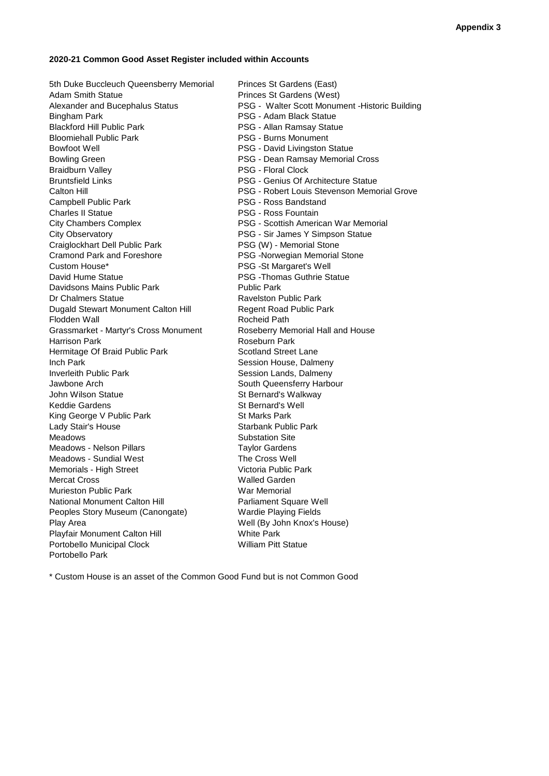#### **2020-21 Common Good Asset Register included within Accounts**

5th Duke Buccleuch Queensberry Memorial Princes St Gardens (East) Adam Smith Statue **Adam Smith Statue Princes St Gardens (West)** Bingham Park **PSG - Adam Black Statue** Blackford Hill Public Park **PSG - Allan Ramsay Statue** Bloomiehall Public Park **PSG - Burns Monument** Bowfoot Well **Bowfoot Well Bowfoot Well** Bowling Green **PSG - Dean Ramsay Memorial Cross** Braidburn Valley **PSG** - Floral Clock Bruntsfield Links **PSG** - Genius Of Architecture Statue Campbell Public Park **PSG - Ross Bandstand** Charles II Statue **PSG - Ross Fountain** City Chambers Complex PSG - Scottish American War Memorial City Observatory PSG - Sir James Y Simpson Statue Craiglockhart Dell Public Park PSG (W) - Memorial Stone Cramond Park and Foreshore **PSG** -Norwegian Memorial Stone Custom House\* PSG -St Margaret's Well David Hume Statue **PSG** -Thomas Guthrie Statue Davidsons Mains Public Park **Public Park** Public Park Dr Chalmers Statue **Ravelston Public Park** Dugald Stewart Monument Calton Hill Regent Road Public Park Flodden Wall **Rocheid Path** Rocheid Path Grassmarket - Martyr's Cross Monument Roseberry Memorial Hall and House Harrison Park **Roseburn Park** Roseburn Park Hermitage Of Braid Public Park Scotland Street Lane Inch Park **Inch Park** Session House, Dalmeny Inverleith Public Park Session Lands, Dalmeny Jawbone Arch **South Queensferry Harbour** South Queensferry Harbour John Wilson Statue Statue St Bernard's Walkway Keddie Gardens St Bernard's Well King George V Public Park St Marks Park Lady Stair's House **Starbank Public Park** Starbank Public Park Meadows **Substation Site** Meadows - Nelson Pillars **Taylor Gardens** Meadows - Sundial West The Cross Well Memorials - High Street Victoria Public Park Mercat Cross National Mercat Cross National Mercat Cross National Mercat Cross National Mercat Cross National Mercat Cross National Mercat Cross National Mercat Cross National Mercat Cross National Mercat Cross National Me Murieston Public Park War Memorial National Monument Calton Hill **Parliament Square Well** Peoples Story Museum (Canongate) Wardie Playing Fields Play Area Well (By John Knox's House) Playfair Monument Calton Hill White Park<br>
Portobello Municipal Clock<br>
William Pitt Statue Portobello Municipal Clock Portobello Park

Alexander and Bucephalus Status PSG - Walter Scott Monument -Historic Building Calton Hill PSG - Robert Louis Stevenson Memorial Grove

\* Custom House is an asset of the Common Good Fund but is not Common Good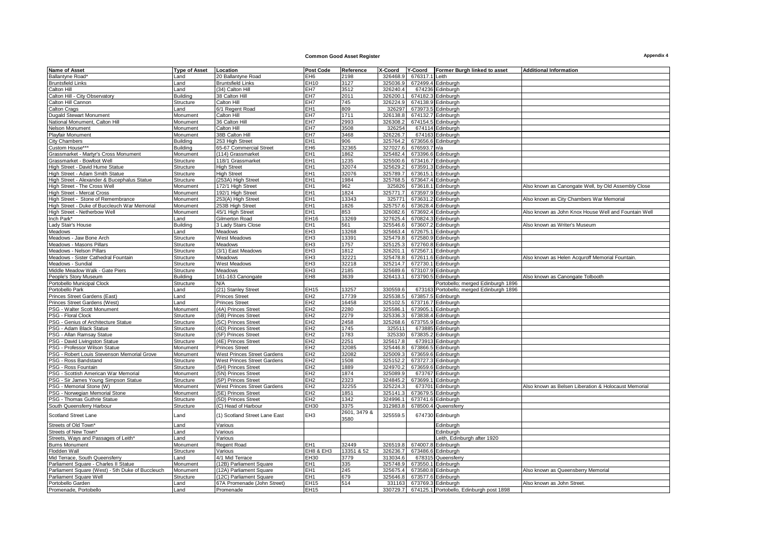#### **Common Good Asset Register Appendix 4**

| <b>Name of Asset</b>                             | <b>Type of Asset</b> | Location                           | <b>Post Code</b> | Reference    | X-Coord  | Y-Coord        | Former Burgh linked to asset             | <b>Additional Information</b>                        |
|--------------------------------------------------|----------------------|------------------------------------|------------------|--------------|----------|----------------|------------------------------------------|------------------------------------------------------|
| <b>Ballantyne Road</b>                           | Land                 | 20 Ballantyne Road                 | EH <sub>6</sub>  | 2198         | 326468.9 | 676317.1 Leith |                                          |                                                      |
| <b>Bruntsfield Links</b>                         | Land                 | <b>Bruntsfield Links</b>           | EH10             | 3127         | 325036.9 |                | 672499.4 Edinburgh                       |                                                      |
| Calton Hill                                      | Land                 | (34) Calton Hill                   | EH7              | 3512         | 326240.4 |                | 674236 Edinburgh                         |                                                      |
| Calton Hill - City Observatory                   | <b>Building</b>      | 38 Calton Hill                     | EH7              | 2011         | 326200.1 |                | 674182.3 Edinburgh                       |                                                      |
| Calton Hill Cannon                               | Structure            | Calton Hill                        | EH7              | 745          | 326224.9 |                | 674138.9 Edinburgh                       |                                                      |
| Calton Crags                                     | Land                 | 6/1 Regent Road                    | EH <sub>1</sub>  | 809          | 326297   |                | 673973.5 Edinburgh                       |                                                      |
|                                                  |                      |                                    | EH <sub>7</sub>  | 1711         | 326138.8 |                |                                          |                                                      |
| <b>Dugald Stewart Monument</b>                   | Monument             | Calton Hill                        |                  |              |          |                | 674132.7 Edinburgh                       |                                                      |
| National Monument, Calton Hill                   | Monument             | 36 Calton Hill                     | EH7              | 2993         | 326308.2 |                | 674154.5 Edinburgh                       |                                                      |
| Nelson Monument                                  | Monument             | Calton Hill                        | EH7              | 3508         | 326254   |                | 674114 Edinburgh                         |                                                      |
| Playfair Monument                                | Monument             | 38B Calton Hill                    | EH7              | 3468         | 326226.7 |                | 674163 Edinburgh                         |                                                      |
| <b>City Chambers</b>                             | <b>Building</b>      | 253 High Street                    | EH <sub>1</sub>  | 906          | 325764.2 |                | 673656.6 Edinburgh                       |                                                      |
| Custom House**                                   | <b>Building</b>      | 65-67 Commercial Street            | EH6              | 32365        | 327027.6 | 676593.7 n/a   |                                          |                                                      |
| Grassmarket - Martyr's Cross Monument            | Monument             | (114) Grassmarket                  | EH <sub>1</sub>  | 1862         | 325482.4 |                | 673396.6 Edinburgh                       |                                                      |
| Grassmarket - Bowfoot Well                       | Structure            | 118/1 Grassmarket                  | EH <sub>1</sub>  | 1235         | 325500.6 |                | 673416.7 Edinburgh                       |                                                      |
| High Street - David Hume Statue                  | Structure            | <b>High Street</b>                 | EH <sub>1</sub>  | 32074        | 325629.2 |                | 673591.3 Edinburgh                       |                                                      |
| High Street - Adam Smith Statue                  | Structure            | <b>High Street</b>                 | EH <sub>1</sub>  | 32076        | 325789.7 |                | 673615.1 Edinburgh                       |                                                      |
| ligh Street - Alexander & Bucephalus Statue      | Structure            | (253A) High Street                 | EH <sub>1</sub>  | 1984         | 325768.5 |                | 673647.4 Edinburgh                       |                                                      |
| High Street - The Cross Well                     | Monument             | 172/1 High Street                  | EH <sub>1</sub>  | 962          | 325826   |                | 673618.1 Edinburgh                       | Also known as Canongate Well, by Old Assembly Close  |
| High Street - Mercat Cross                       | Monument             | 192/1 High Street                  | EH <sub>1</sub>  | 1824         | 325771.7 |                | 673597.9 Edinburgh                       |                                                      |
| High Street - Stone of Remembrance               | Monument             | 253(A) High Street                 | EH <sub>1</sub>  | 13343        | 325771   |                | 673631.2 Edinburgh                       | Also known as City Chambers War Memorial             |
| High Street - Duke of Buccleuch War Memorial     | Monument             | 253B High Street                   | EH <sub>1</sub>  | 1826         | 325757.6 |                | 673628.4 Edinburgh                       |                                                      |
| High Street - Netherbow Well                     | Monument             | 45/1 High Street                   | EH <sub>1</sub>  | 853          | 326082.6 |                | 673692.4 Edinburgh                       | Also known as John Knox House Well and Fountain Well |
| Inch Park*                                       | Land                 | Gilmerton Road                     | EH16             | 13269        | 327625.4 |                | 670824.3 Edinburgh                       |                                                      |
|                                                  | <b>Building</b>      |                                    | EH <sub>1</sub>  | 561          | 325546.6 |                | 673607.2 Edinburgh                       | Also known as Writer's Museum                        |
| Lady Stair's House                               |                      | 3 Lady Stairs Close                |                  |              |          |                |                                          |                                                      |
| Meadows                                          | Land                 | Meadows                            | EH <sub>3</sub>  | 13268        | 325663.4 |                | 672675.1 Edinburgh                       |                                                      |
| Meadows - Jaw Bone Arch                          | Structure            | <b>West Meadows</b>                | EH <sub>3</sub>  | 13391        | 325479.8 |                | 672580.9 Edinburgh                       |                                                      |
| Meadows - Masons Pillars                         | Structure            | Meadows                            | EH <sub>3</sub>  | 1757         | 325125.3 |                | 672760.8 Edinburgh                       |                                                      |
| Meadows - Nelson Pillars                         | Structure            | (3/1) East Meadows                 | EH <sub>3</sub>  | 1812         | 326201.1 |                | 672567.1 Edinburgh                       |                                                      |
| Meadows - Sister Cathedral Fountain              | Structure            | Meadows                            | EH <sub>3</sub>  | 32221        | 325478.8 |                | 672611.6 Edinburgh                       | Also known as Helen Acquroff Memorial Fountain       |
| Meadows - Sundial                                | Structure            | <b>West Meadows</b>                | EH <sub>3</sub>  | 32218        | 325214.7 |                | 672730.1 Edinburgh                       |                                                      |
| Middle Meadow Walk - Gate Piers                  | Structure            | Meadows                            | EH <sub>3</sub>  | 2185         | 325689.6 |                | 673107.9 Edinburgh                       |                                                      |
| People's Story Museum                            | Building             | 161-163 Canongate                  | EH <sub>8</sub>  | 3639         | 326413.1 |                | 673790.5 Edinburgh                       | Also known as Canongate Tolbooth                     |
| Portobello Municipal Clock                       | Structure            | N/A                                |                  |              |          |                | Portobello; merged Edinburgh 1896        |                                                      |
| Portobello Park                                  | Land                 | (21) Stanley Street                | <b>EH15</b>      | 13257        | 330559.6 |                | 673163 Portobello; merged Edinburgh 1896 |                                                      |
| Princes Street Gardens (East)                    | Land                 | <b>Princes Street</b>              | EH <sub>2</sub>  | 17739        | 325538.5 |                | 673857.5 Edinburgh                       |                                                      |
| Princes Street Gardens (West)                    | Land                 | <b>Princes Street</b>              | EH <sub>2</sub>  | 16458        | 325102.5 |                | 673716.7 Edinburgh                       |                                                      |
| PSG - Walter Scott Monument                      | Monument             | (4A) Princes Street                | EH <sub>2</sub>  | 2280         | 325586.  |                | 673905.1 Edinburgh                       |                                                      |
| PSG - Floral Clock                               | Structure            | (5B) Princes Street                | EH <sub>2</sub>  | 2279         | 325336.  |                | 673838.4 Edinburgh                       |                                                      |
| PSG - Genius of Architecture Statue              | Structure            | (5C) Princes Street                | EH <sub>2</sub>  | 2458         | 325268.6 |                | 673755.9 Edinburgh                       |                                                      |
|                                                  |                      |                                    | EH <sub>2</sub>  | 1745         |          |                |                                          |                                                      |
| PSG - Adam Black Statue                          | Structure            | (4D) Princes Street                |                  |              | 32551'   |                | 673885 Edinburgh                         |                                                      |
| PSG - Allan Ramsay Statue                        | Structure            | (5F) Princes Street                | EH <sub>2</sub>  | 1783         | 325330   |                | 673835.2 Edinburgh                       |                                                      |
| PSG - David Livingston Statue                    | Structure            | (4E) Princes Street                | EH <sub>2</sub>  | 2251         | 325617.8 |                | 673913 Edinburgh                         |                                                      |
| PSG - Professor Wilson Statue                    | Monument             | <b>Princes Street</b>              | EH <sub>2</sub>  | 32085        | 325446.8 |                | 673866.5 Edinburgh                       |                                                      |
| PSG - Robert Louis Stevenson Memorial Grove      | Monument             | <b>West Princes Street Gardens</b> | EH <sub>2</sub>  | 32082        | 325009.3 |                | 673659.6 Edinburgh                       |                                                      |
| PSG - Ross Bandstand                             | Structure            | West Princes Street Gardens        | EH <sub>2</sub>  | 1508         | 325152.2 |                | 673727.3 Edinburgh                       |                                                      |
| PSG - Ross Fountain                              | Structure            | (5H) Princes Street                | EH2              | 1889         | 324970.2 |                | 673659.6 Edinburgh                       |                                                      |
| PSG - Scottish American War Memorial             | Monument             | (5N) Princes Street                | EH <sub>2</sub>  | 1874         | 325089.9 |                | 673767 Edinburgh                         |                                                      |
| PSG - Sir James Young Simpson Statue             | Structure            | (5P) Princes Street                | EH <sub>2</sub>  | 2323         | 324845.2 |                | 673699.1 Edinburgh                       |                                                      |
| PSG - Memorial Stone (W)                         | Monument             | West Princes Street Gardens        | EH <sub>2</sub>  | 32255        | 325224.  |                | 673701 Edinburgh                         | Also known as Belsen Liberation & Holocaust Memorial |
| PSG - Norwegian Memorial Stone                   | Monument             | (5E) Princes Street                | EH2              | 1851         | 325141.3 |                | 673679.5 Edinburgh                       |                                                      |
| PSG - Thomas Guthrie Statue                      | Structure            | (5D) Princes Street                | EH <sub>2</sub>  | 1342         | 324996.1 |                | 673741.6 Edinburgh                       |                                                      |
| South Queensferry Harbour                        | Structure            | (C) Head of Harbour                | EH30             | 3375         | 312983.8 |                | 678500.4 Queensferry                     |                                                      |
|                                                  |                      |                                    |                  | 2601, 3479 & |          |                |                                          |                                                      |
| Scotland Street Lane                             | _and                 | (1) Scotland Street Lane East      | EH <sub>3</sub>  | 3580         | 325559.5 |                | 674730 Edinburgh                         |                                                      |
| Streets of Old Town*                             | Land                 | Various                            |                  |              |          |                | Edinburgh                                |                                                      |
|                                                  |                      |                                    |                  |              |          |                |                                          |                                                      |
| Streets of New Town*                             | Land                 | Various                            |                  |              |          |                | Edinburgh                                |                                                      |
| Streets, Ways and Passages of Leith*             | and.                 | Various                            |                  |              |          |                | Leith, Edinburgh after 1920              |                                                      |
| <b>Burns Monument</b>                            | Monument             | Regent Road                        | EH <sub>1</sub>  | 32449        | 326519.8 |                | 674007.8 Edinburgh                       |                                                      |
| Flodden Wall                                     | Structure            | Various                            | EH8 & EH3        | 13351 & 52   | 326236.7 |                | 673486.6 Edinburgh                       |                                                      |
| Mid Terrace, South Queensferry                   | Land                 | 4/1 Mid Terrace                    | <b>EH30</b>      | 3779         | 313034.6 |                | 678315 Queensferry                       |                                                      |
| Parliament Square - Charles II Statue            | Monument             | (12B) Parliament Square            | EH <sub>1</sub>  | 335          | 325748.9 |                | 673550.1 Edinburgh                       |                                                      |
| Parliament Square (West) - 5th Duke of Buccleuch | Monument             | (12A) Parliament Square            | EH <sub>1</sub>  | 245          | 325675.4 |                | 673580.8 Edinburgh                       | Also known as Queensberry Memorial                   |
| Parliament Square Well                           | Structure            | (12C) Parliament Square            | EH <sub>1</sub>  | 679          | 325646.8 |                | 673577.6 Edinburgh                       |                                                      |
| Portobello Garden                                | Land                 | 67A Promenade (John Street)        | EH15             | 514          | 331163   |                | 673769.3 Edinburgh                       | Also known as John Street                            |
| Promenade, Portobello                            | Land                 | Promenade                          | EH15             |              | 330729.7 |                | 674125.1 Portobello, Edinburgh post 1898 |                                                      |
|                                                  |                      |                                    |                  |              |          |                |                                          |                                                      |